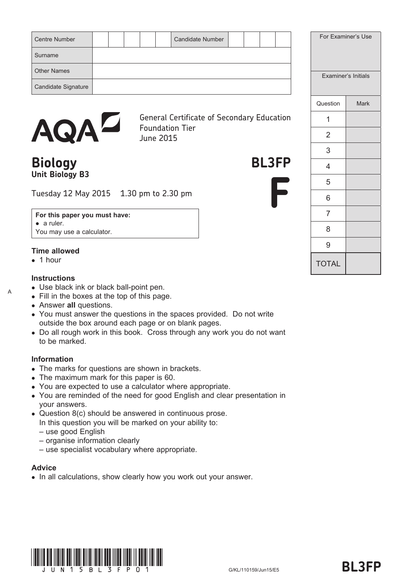| <b>Centre Number</b> |  |  | <b>Candidate Number</b> |  |  |  | For Examiner's Use  |
|----------------------|--|--|-------------------------|--|--|--|---------------------|
| Surname              |  |  |                         |  |  |  |                     |
| <b>Other Names</b>   |  |  |                         |  |  |  | Examiner's Initials |
| Candidate Signature  |  |  |                         |  |  |  |                     |
|                      |  |  |                         |  |  |  |                     |



General Certificate of Secondary Education Foundation Tier June 2015

# **Biology BL3FP Unit Biology B3**

Tuesday 12 May 2015 1.30 pm to 2.30 pm

**For this paper you must have:** • a ruler. You may use a calculator.

#### **Time allowed**

 $\bullet$  1 hour

A

#### **Instructions**

- Use black ink or black ball-point pen.
- Fill in the boxes at the top of this page.
- Answer **all** questions.
- You must answer the questions in the spaces provided. Do not write outside the box around each page or on blank pages.
- Do all rough work in this book. Cross through any work you do not want to be marked.

#### **Information**

- The marks for questions are shown in brackets.
- The maximum mark for this paper is 60.
- You are expected to use a calculator where appropriate.
- You are reminded of the need for good English and clear presentation in your answers.
- Question 8(c) should be answered in continuous prose. In this question you will be marked on your ability to:
	- use good English
	- organise information clearly
	- use specialist vocabulary where appropriate.

#### **Advice**

• In all calculations, show clearly how you work out your answer.



niner's Use

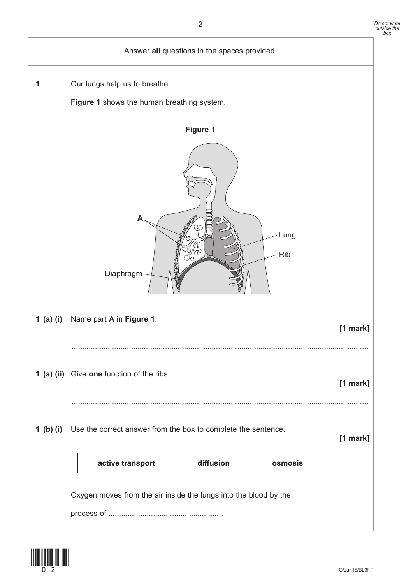

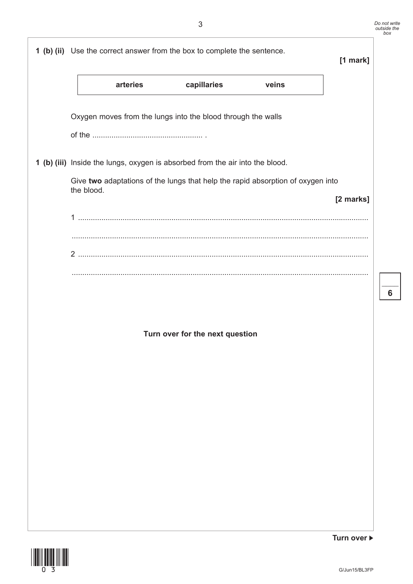|                                                                                                                                                                  | 3                               |       |           | Do not write<br>outside the<br>box |
|------------------------------------------------------------------------------------------------------------------------------------------------------------------|---------------------------------|-------|-----------|------------------------------------|
| 1 (b) (ii) Use the correct answer from the box to complete the sentence.                                                                                         |                                 |       | [1 mark]  |                                    |
| arteries                                                                                                                                                         | capillaries                     | veins |           |                                    |
| Oxygen moves from the lungs into the blood through the walls                                                                                                     |                                 |       |           |                                    |
|                                                                                                                                                                  |                                 |       |           |                                    |
| 1 (b) (iii) Inside the lungs, oxygen is absorbed from the air into the blood.<br>Give two adaptations of the lungs that help the rapid absorption of oxygen into |                                 |       |           |                                    |
| the blood.                                                                                                                                                       |                                 |       | [2 marks] |                                    |
|                                                                                                                                                                  |                                 |       |           |                                    |
|                                                                                                                                                                  |                                 |       |           |                                    |
|                                                                                                                                                                  |                                 |       |           | 6                                  |
|                                                                                                                                                                  |                                 |       |           |                                    |
|                                                                                                                                                                  | Turn over for the next question |       |           |                                    |
|                                                                                                                                                                  |                                 |       |           |                                    |
|                                                                                                                                                                  |                                 |       |           |                                    |
|                                                                                                                                                                  |                                 |       |           |                                    |
|                                                                                                                                                                  |                                 |       |           |                                    |
|                                                                                                                                                                  |                                 |       |           |                                    |
|                                                                                                                                                                  |                                 |       |           |                                    |



**Turn over**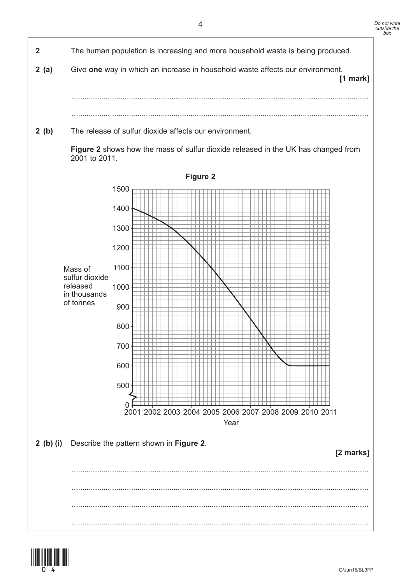

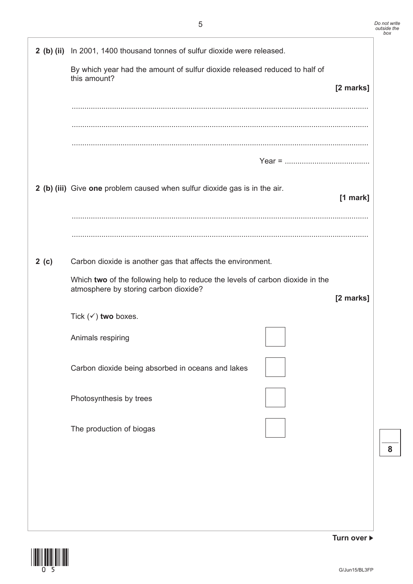|      | 2 (b) (ii) In 2001, 1400 thousand tonnes of sulfur dioxide were released.                                              |            |
|------|------------------------------------------------------------------------------------------------------------------------|------------|
|      | By which year had the amount of sulfur dioxide released reduced to half of<br>this amount?                             | [2 marks]  |
|      |                                                                                                                        |            |
|      |                                                                                                                        |            |
|      |                                                                                                                        |            |
|      | 2 (b) (iii) Give one problem caused when sulfur dioxide gas is in the air.                                             | $[1$ mark] |
|      |                                                                                                                        |            |
| 2(c) | Carbon dioxide is another gas that affects the environment.                                                            |            |
|      | Which two of the following help to reduce the levels of carbon dioxide in the<br>atmosphere by storing carbon dioxide? |            |
|      | Tick $(\checkmark)$ two boxes.                                                                                         | [2 marks]  |
|      | Animals respiring                                                                                                      |            |
|      | Carbon dioxide being absorbed in oceans and lakes                                                                      |            |
|      | Photosynthesis by trees                                                                                                |            |
|      | The production of biogas                                                                                               |            |
|      |                                                                                                                        |            |
|      |                                                                                                                        |            |
|      |                                                                                                                        |            |
|      |                                                                                                                        |            |



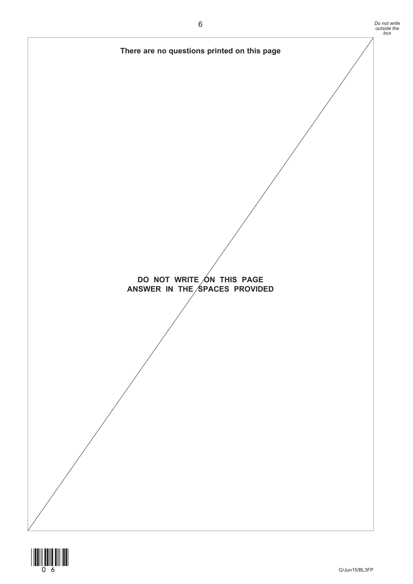

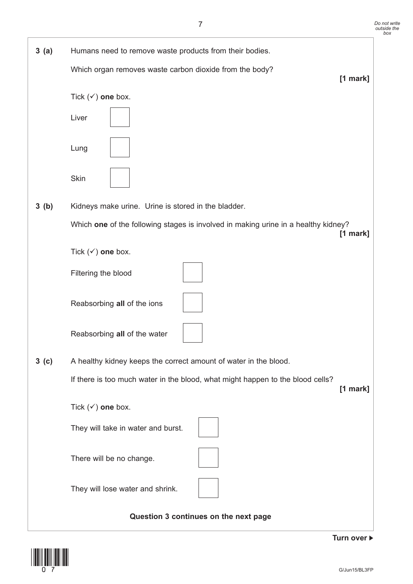

(07) G/Jun15/BL3FP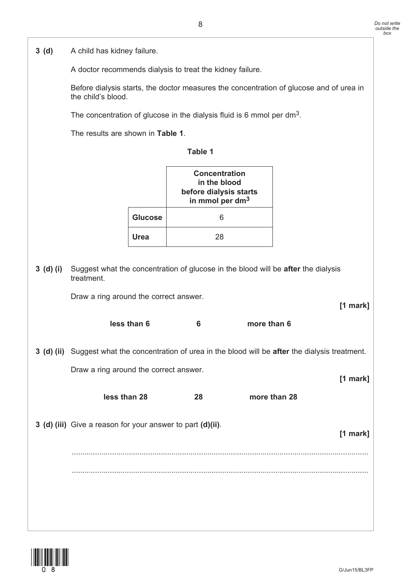**3 (d)** A child has kidney failure.

A doctor recommends dialysis to treat the kidney failure.

Before dialysis starts, the doctor measures the concentration of glucose and of urea in the child's blood.

The concentration of glucose in the dialysis fluid is 6 mmol per dm<sup>3</sup>.

The results are shown in **Table 1**.

| Table |  |
|-------|--|
|       |  |

|                | Concentration<br>in the blood<br>before dialysis starts<br>in mmol per dm <sup>3</sup> |
|----------------|----------------------------------------------------------------------------------------|
| <b>Glucose</b> | հ                                                                                      |
| Urea           | 28                                                                                     |

| $3$ (d) (i) | Suggest what the concentration of glucose in the blood will be after the dialysis<br>treatment.      |    |              |            |  |
|-------------|------------------------------------------------------------------------------------------------------|----|--------------|------------|--|
|             | Draw a ring around the correct answer.                                                               |    |              | $[1$ mark] |  |
|             | less than 6                                                                                          | 6  | more than 6  |            |  |
|             | 3 (d) (ii) Suggest what the concentration of urea in the blood will be after the dialysis treatment. |    |              |            |  |
|             | Draw a ring around the correct answer.                                                               |    |              | $[1$ mark] |  |
|             | less than 28                                                                                         | 28 | more than 28 |            |  |
|             | 3 (d) (iii) Give a reason for your answer to part (d)(ii).                                           |    |              | $[1$ mark] |  |
|             |                                                                                                      |    |              |            |  |
|             |                                                                                                      |    |              |            |  |
|             |                                                                                                      |    |              |            |  |
|             |                                                                                                      |    |              |            |  |

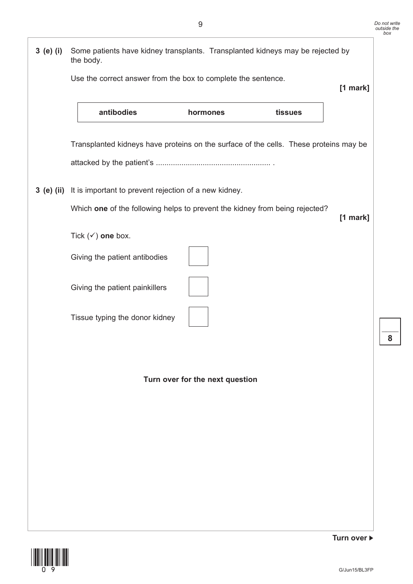



**Turn over**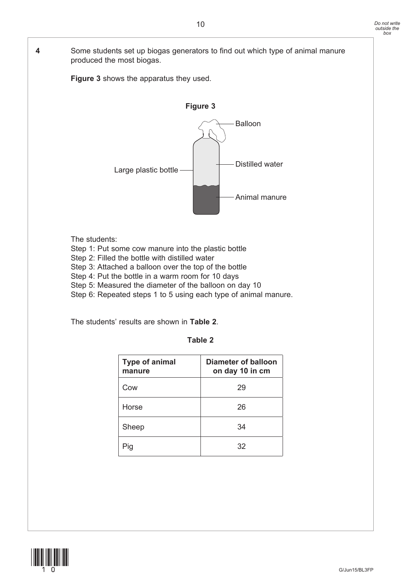**4** Some students set up biogas generators to find out which type of animal manure produced the most biogas.

**Figure 3** shows the apparatus they used.



The students:

- Step 1: Put some cow manure into the plastic bottle
- Step 2: Filled the bottle with distilled water
- Step 3: Attached a balloon over the top of the bottle
- Step 4: Put the bottle in a warm room for 10 days
- Step 5: Measured the diameter of the balloon on day 10
- Step 6: Repeated steps 1 to 5 using each type of animal manure.

The students' results are shown in **Table 2**.

| ۰,<br>×<br>×<br>٧ |  |
|-------------------|--|
|-------------------|--|

| <b>Type of animal</b><br>manure | Diameter of balloon<br>on day 10 in cm |
|---------------------------------|----------------------------------------|
| Cow                             | 29                                     |
| Horse                           | 26                                     |
| Sheep                           | 34                                     |
| Pig                             | 32                                     |

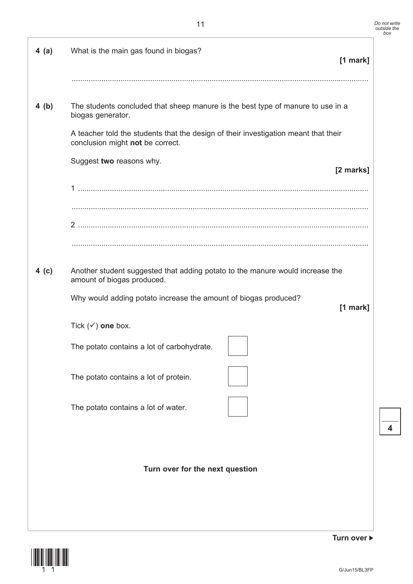| 4(a)             | What is the main gas found in biogas?                                                                                                                                                                                                                       | [1 mark]   |
|------------------|-------------------------------------------------------------------------------------------------------------------------------------------------------------------------------------------------------------------------------------------------------------|------------|
| 4(b)             | The students concluded that sheep manure is the best type of manure to use in a<br>biogas generator.<br>A teacher told the students that the design of their investigation meant that their<br>conclusion might not be correct.<br>Suggest two reasons why. | [2 marks]  |
|                  |                                                                                                                                                                                                                                                             |            |
|                  |                                                                                                                                                                                                                                                             |            |
| 4 <sub>(c)</sub> | Another student suggested that adding potato to the manure would increase the<br>amount of biogas produced.<br>Why would adding potato increase the amount of biogas produced?                                                                              | $[1$ mark] |
|                  | Tick $(\checkmark)$ one box.                                                                                                                                                                                                                                |            |
|                  | The potato contains a lot of carbohydrate.                                                                                                                                                                                                                  |            |
|                  | The potato contains a lot of protein.                                                                                                                                                                                                                       |            |
|                  | The potato contains a lot of water.                                                                                                                                                                                                                         |            |
|                  | Turn over for the next question                                                                                                                                                                                                                             |            |

(11)

**Turn over**

 $\mathcal{L}_\mathcal{L}$ **4**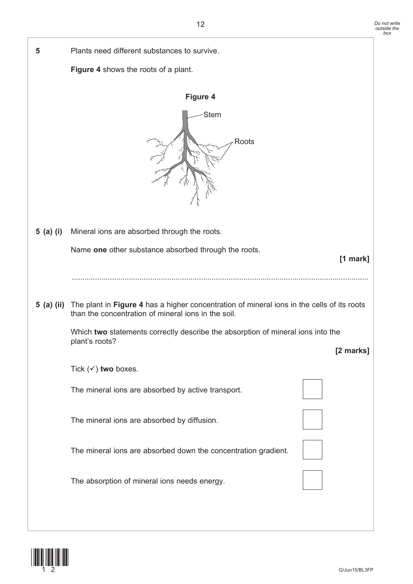

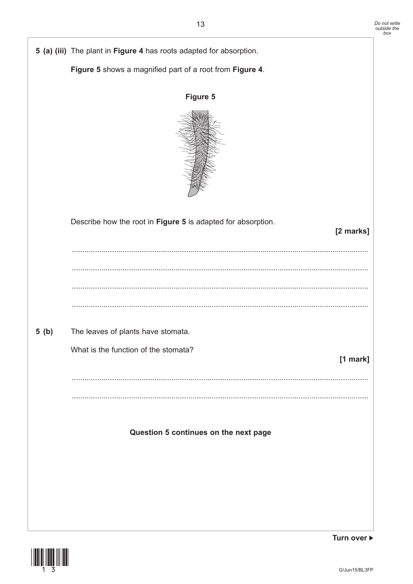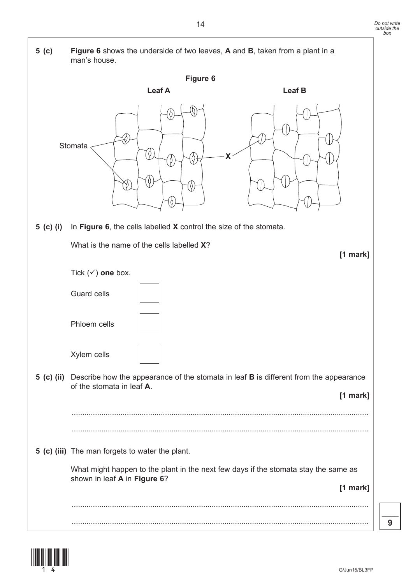

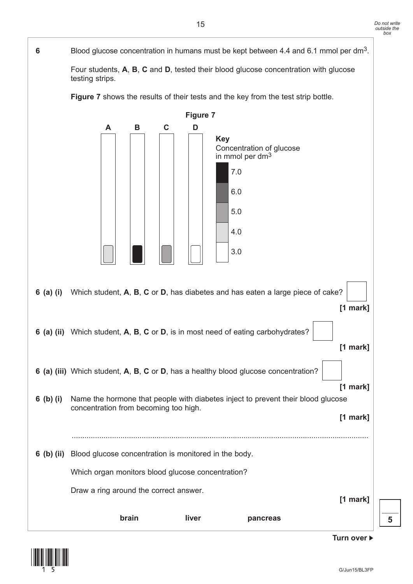## **6** Blood glucose concentration in humans must be kept between 4.4 and 6.1 mmol per dm3.

Four students, **A**, **B**, **C** and **D**, tested their blood glucose concentration with glucose testing strips.

**Figure 7** shows the results of their tests and the key from the test strip bottle.



 $\mathcal{L}_\mathcal{L}$ **5**

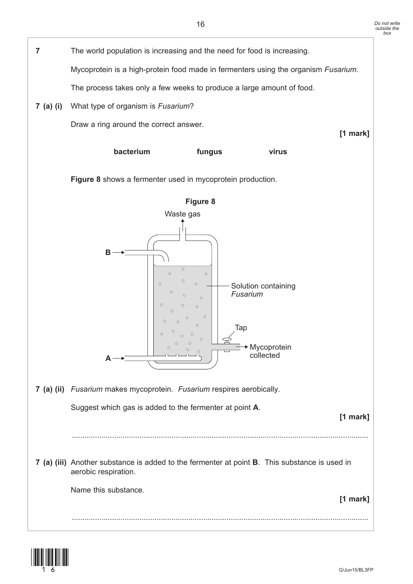

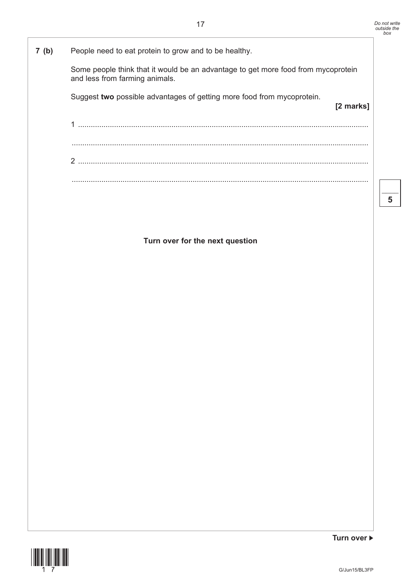**[2 marks]**

## **7 (b)** People need to eat protein to grow and to be healthy.

Some people think that it would be an advantage to get more food from mycoprotein and less from farming animals.

Suggest **two** possible advantages of getting more food from mycoprotein.

1 ......................................................................................................................................... ............................................................................................................................................ 2 ......................................................................................................................................... ............................................................................................................................................

**Turn over for the next question**



G/Jun15/BL3FP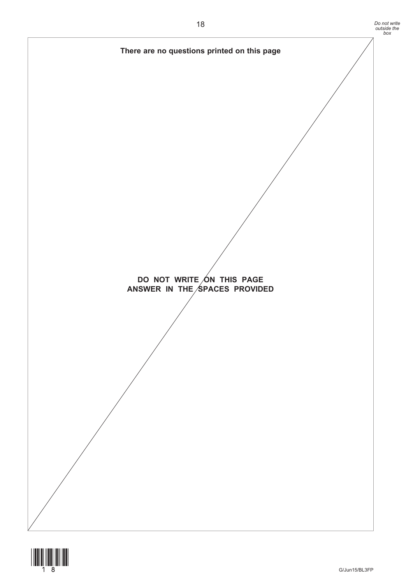

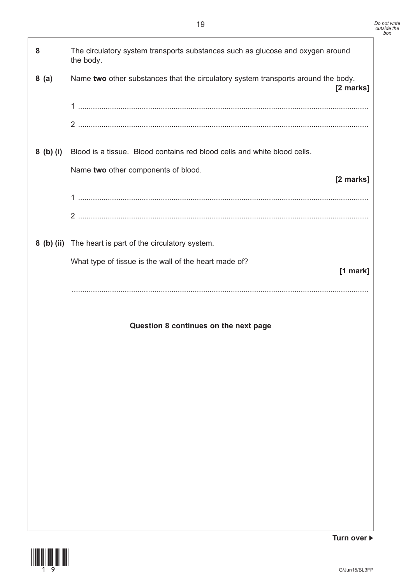

**Turn over**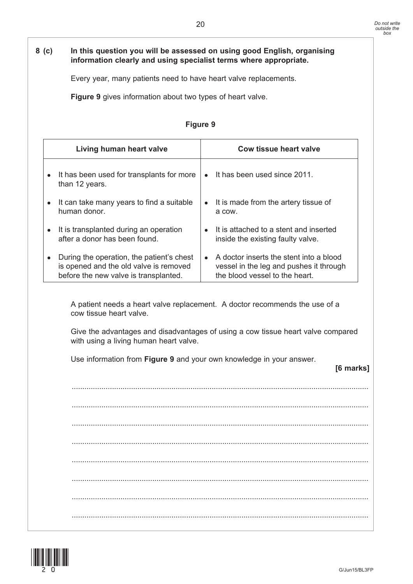### **8 (c) In this question you will be assessed on using good English, organising information clearly and using specialist terms where appropriate.**

Every year, many patients need to have heart valve replacements.

**Figure 9** gives information about two types of heart valve.

| Living human heart valve                    | Cow tissue heart valve                   |
|---------------------------------------------|------------------------------------------|
| • It has been used for transplants for more | It has been used since 2011.             |
| than 12 years.                              | $\bullet$                                |
| • It can take many years to find a suitable | • It is made from the artery tissue of   |
| human donor.                                | a cow.                                   |
| • It is transplanted during an operation    | • It is attached to a stent and inserted |
| after a donor has been found.               | inside the existing faulty valve.        |
| During the operation, the patient's chest   | A doctor inserts the stent into a blood  |
| $\bullet$                                   | $\bullet$                                |
| is opened and the old valve is removed      | vessel in the leg and pushes it through  |
| before the new valve is transplanted.       | the blood vessel to the heart.           |

**Figure 9**

 A patient needs a heart valve replacement. A doctor recommends the use of a cow tissue heart valve.

Give the advantages and disadvantages of using a cow tissue heart valve compared with using a living human heart valve.

Use information from **Figure 9** and your own knowledge in your answer.

**[6 marks]**

 ............................................................................................................................................ ............................................................................................................................................ ............................................................................................................................................ ............................................................................................................................................ ............................................................................................................................................ ............................................................................................................................................ ............................................................................................................................................ ............................................................................................................................................

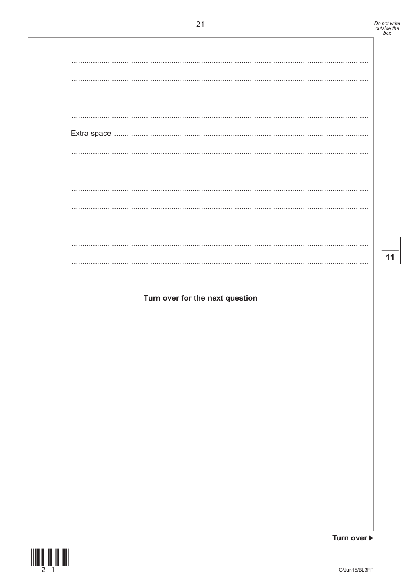## Turn over for the next question

 $\frac{11}{11}$ 



Turn over ▶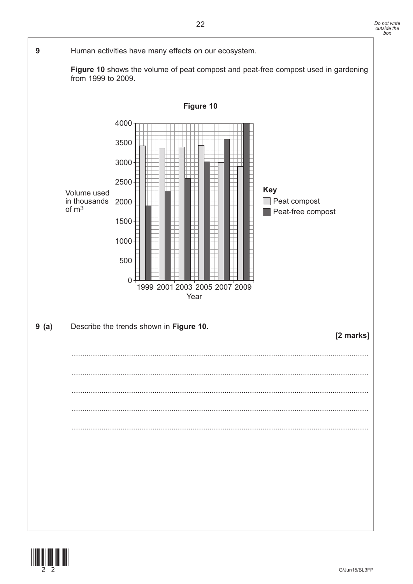

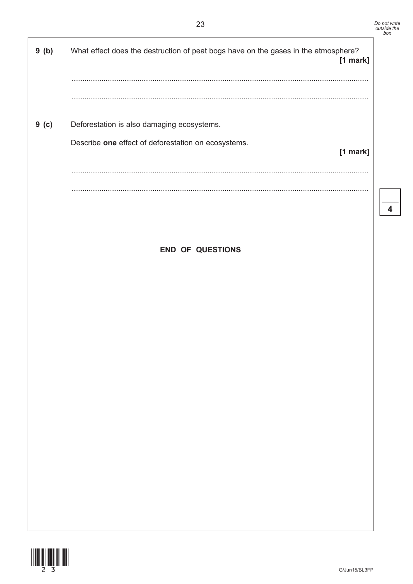$\overline{\mathbf{4}}$ 

|       | ∼∽                                                                                               | outs |
|-------|--------------------------------------------------------------------------------------------------|------|
| 9(b)  | What effect does the destruction of peat bogs have on the gases in the atmosphere?<br>$[1$ mark] |      |
|       |                                                                                                  |      |
|       |                                                                                                  |      |
| 9( c) | Deforestation is also damaging ecosystems.                                                       |      |
|       | Describe one effect of deforestation on ecosystems.<br>[1 mark]                                  |      |
|       |                                                                                                  |      |
|       |                                                                                                  |      |
|       |                                                                                                  |      |
|       |                                                                                                  |      |
|       | <b>END OF QUESTIONS</b>                                                                          |      |
|       |                                                                                                  |      |
|       |                                                                                                  |      |
|       |                                                                                                  |      |